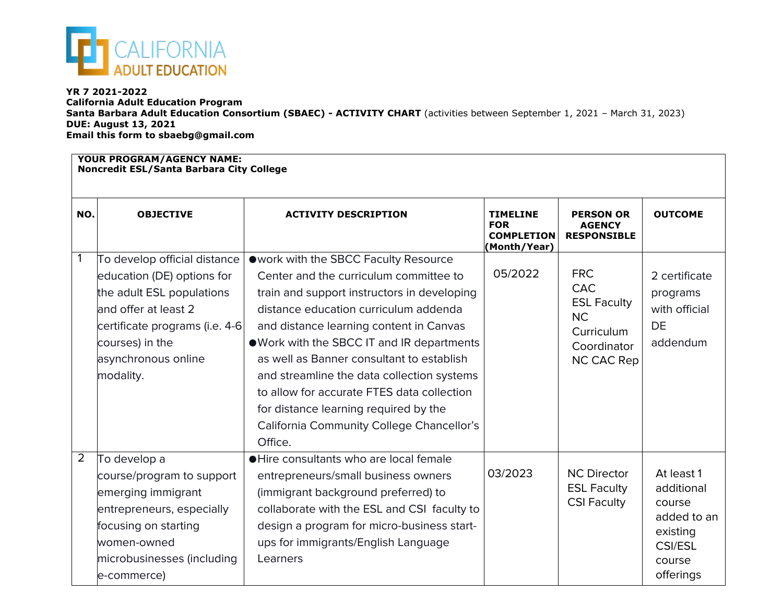

## **YR 7 2021-2022**

**California Adult Education Program Santa Barbara Adult Education Consortium (SBAEC) - ACTIVITY CHART** (activities between September 1, 2021 – March 31, 2023) **DUE: August 13, 2021 Email this form to sbaebg@gmail.com**

## **YOUR PROGRAM/AGENCY NAME:**

**Noncredit ESL/Santa Barbara City College**

| NO.            | <b>OBJECTIVE</b>                                                                                                                                                                                         | <b>ACTIVITY DESCRIPTION</b>                                                                                                                                                                                                                                                                                                                                                                                                                                                                               | <b>TIMELINE</b><br><b>FOR</b><br><b>COMPLETION</b><br>(Month/Year) | <b>PERSON OR</b><br><b>AGENCY</b><br><b>RESPONSIBLE</b>                                                | <b>OUTCOME</b>                                                                                         |  |  |
|----------------|----------------------------------------------------------------------------------------------------------------------------------------------------------------------------------------------------------|-----------------------------------------------------------------------------------------------------------------------------------------------------------------------------------------------------------------------------------------------------------------------------------------------------------------------------------------------------------------------------------------------------------------------------------------------------------------------------------------------------------|--------------------------------------------------------------------|--------------------------------------------------------------------------------------------------------|--------------------------------------------------------------------------------------------------------|--|--|
| 1              | To develop official distance<br>education (DE) options for<br>the adult ESL populations<br>and offer at least 2<br>certificate programs (i.e. 4-6<br>courses) in the<br>asynchronous online<br>modality. | owork with the SBCC Faculty Resource<br>Center and the curriculum committee to<br>train and support instructors in developing<br>distance education curriculum addenda<br>and distance learning content in Canvas<br>. Work with the SBCC IT and IR departments<br>as well as Banner consultant to establish<br>and streamline the data collection systems<br>to allow for accurate FTES data collection<br>for distance learning required by the<br>California Community College Chancellor's<br>Office. | 05/2022                                                            | <b>FRC</b><br><b>CAC</b><br><b>ESL Faculty</b><br><b>NC</b><br>Curriculum<br>Coordinator<br>NC CAC Rep | 2 certificate<br>programs<br>with official<br><b>DE</b><br>addendum                                    |  |  |
| $\overline{2}$ | To develop a<br>course/program to support<br>emerging immigrant<br>entrepreneurs, especially<br>focusing on starting<br>women-owned<br>microbusinesses (including<br>e-commerce)                         | • Hire consultants who are local female<br>entrepreneurs/small business owners<br>(immigrant background preferred) to<br>collaborate with the ESL and CSI faculty to<br>design a program for micro-business start-<br>ups for immigrants/English Language<br>Learners                                                                                                                                                                                                                                     | 03/2023                                                            | <b>NC Director</b><br><b>ESL Faculty</b><br><b>CSI Faculty</b>                                         | At least 1<br>additional<br>course<br>added to an<br>existing<br><b>CSI/ESL</b><br>course<br>offerings |  |  |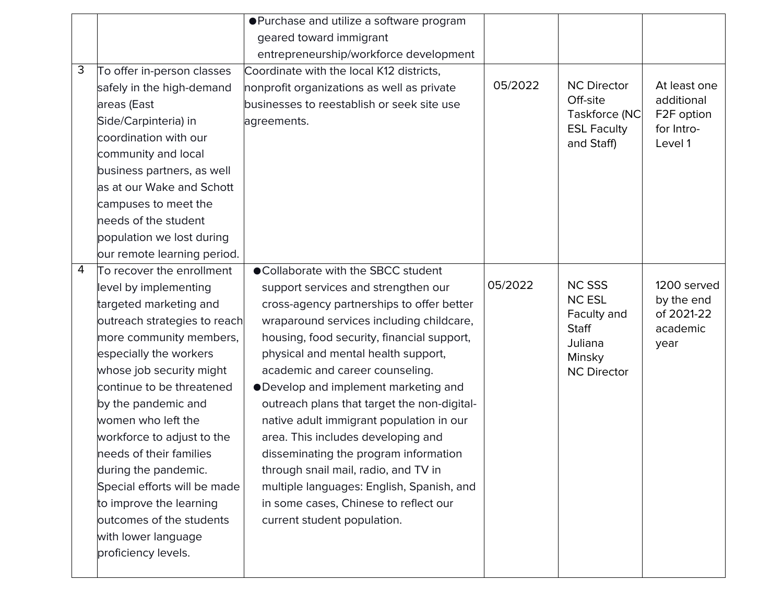|   |                              | ● Purchase and utilize a software program   |         |                                     |                          |
|---|------------------------------|---------------------------------------------|---------|-------------------------------------|--------------------------|
|   |                              | geared toward immigrant                     |         |                                     |                          |
|   |                              | entrepreneurship/workforce development      |         |                                     |                          |
| 3 | To offer in-person classes   | Coordinate with the local K12 districts,    |         |                                     |                          |
|   | safely in the high-demand    | nonprofit organizations as well as private  | 05/2022 | <b>NC Director</b>                  | At least one             |
|   | areas (East                  | businesses to reestablish or seek site use  |         | Off-site                            | additional               |
|   | Side/Carpinteria) in         | agreements.                                 |         | Taskforce (NC<br><b>ESL Faculty</b> | F2F option<br>for Intro- |
|   | coordination with our        |                                             |         | and Staff)                          | Level 1                  |
|   | community and local          |                                             |         |                                     |                          |
|   | business partners, as well   |                                             |         |                                     |                          |
|   | as at our Wake and Schott    |                                             |         |                                     |                          |
|   | campuses to meet the         |                                             |         |                                     |                          |
|   | needs of the student         |                                             |         |                                     |                          |
|   | population we lost during    |                                             |         |                                     |                          |
|   | our remote learning period.  |                                             |         |                                     |                          |
| 4 | To recover the enrollment    | ● Collaborate with the SBCC student         |         |                                     |                          |
|   | level by implementing        | support services and strengthen our         | 05/2022 | <b>NC SSS</b>                       | 1200 served              |
|   | targeted marketing and       | cross-agency partnerships to offer better   |         | <b>NC ESL</b>                       | by the end               |
|   | outreach strategies to reach | wraparound services including childcare,    |         | Faculty and<br><b>Staff</b>         | of 2021-22<br>academic   |
|   | more community members,      | housing, food security, financial support,  |         | Juliana                             | year                     |
|   | especially the workers       | physical and mental health support,         |         | Minsky                              |                          |
|   | whose job security might     | academic and career counseling.             |         | <b>NC Director</b>                  |                          |
|   | continue to be threatened    | •Develop and implement marketing and        |         |                                     |                          |
|   | by the pandemic and          | outreach plans that target the non-digital- |         |                                     |                          |
|   | women who left the           | native adult immigrant population in our    |         |                                     |                          |
|   | workforce to adjust to the   | area. This includes developing and          |         |                                     |                          |
|   | needs of their families      | disseminating the program information       |         |                                     |                          |
|   | during the pandemic.         | through snail mail, radio, and TV in        |         |                                     |                          |
|   | Special efforts will be made | multiple languages: English, Spanish, and   |         |                                     |                          |
|   | to improve the learning      | in some cases, Chinese to reflect our       |         |                                     |                          |
|   | outcomes of the students     | current student population.                 |         |                                     |                          |
|   | with lower language          |                                             |         |                                     |                          |
|   | proficiency levels.          |                                             |         |                                     |                          |
|   |                              |                                             |         |                                     |                          |